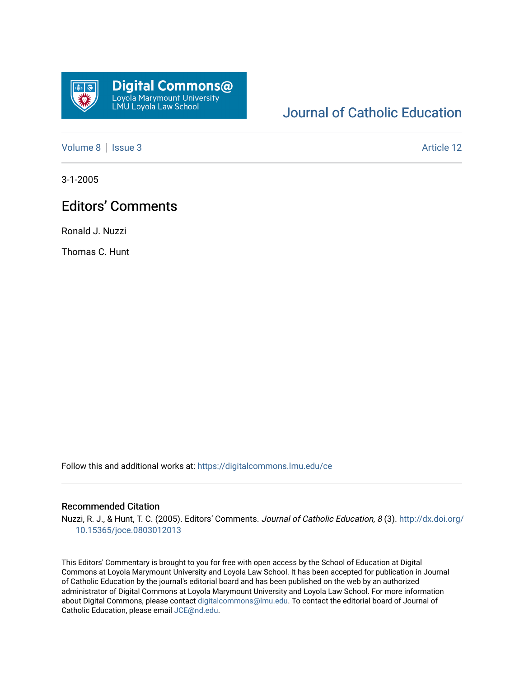

## [Journal of Catholic Education](https://digitalcommons.lmu.edu/ce)

[Volume 8](https://digitalcommons.lmu.edu/ce/vol8) | [Issue 3](https://digitalcommons.lmu.edu/ce/vol8/iss3) Article 12

3-1-2005

## Editors' Comments

Ronald J. Nuzzi

Thomas C. Hunt

Follow this and additional works at: [https://digitalcommons.lmu.edu/ce](https://digitalcommons.lmu.edu/ce?utm_source=digitalcommons.lmu.edu%2Fce%2Fvol8%2Fiss3%2F12&utm_medium=PDF&utm_campaign=PDFCoverPages)

## Recommended Citation

Nuzzi, R. J., & Hunt, T. C. (2005). Editors' Comments. Journal of Catholic Education, 8 (3). [http://dx.doi.org/](http://dx.doi.org/10.15365/joce.0803012013) [10.15365/joce.0803012013](http://dx.doi.org/10.15365/joce.0803012013) 

This Editors' Commentary is brought to you for free with open access by the School of Education at Digital Commons at Loyola Marymount University and Loyola Law School. It has been accepted for publication in Journal of Catholic Education by the journal's editorial board and has been published on the web by an authorized administrator of Digital Commons at Loyola Marymount University and Loyola Law School. For more information about Digital Commons, please contact [digitalcommons@lmu.edu](mailto:digitalcommons@lmu.edu). To contact the editorial board of Journal of Catholic Education, please email [JCE@nd.edu.](mailto:JCE@nd.edu)